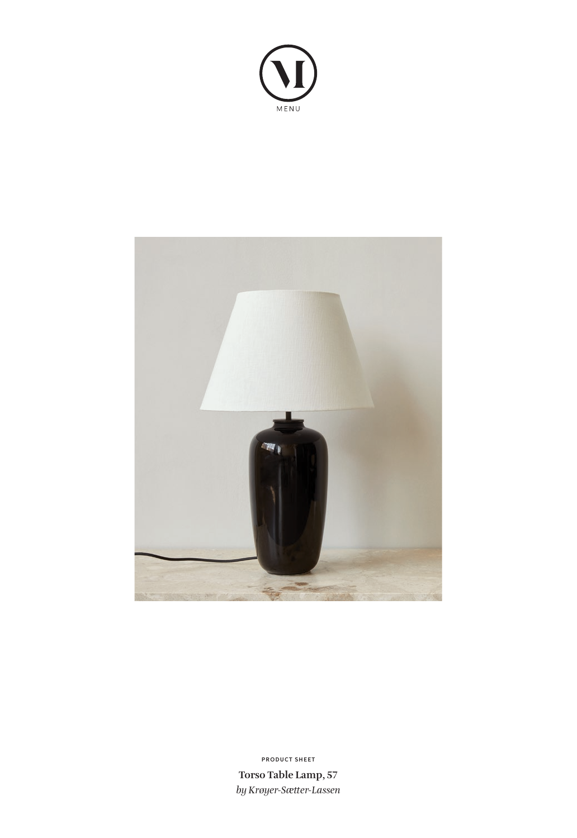



**Torso Table Lamp, 57** *by Krøyer-Sætter-Lassen* **PRODUCT SHEET**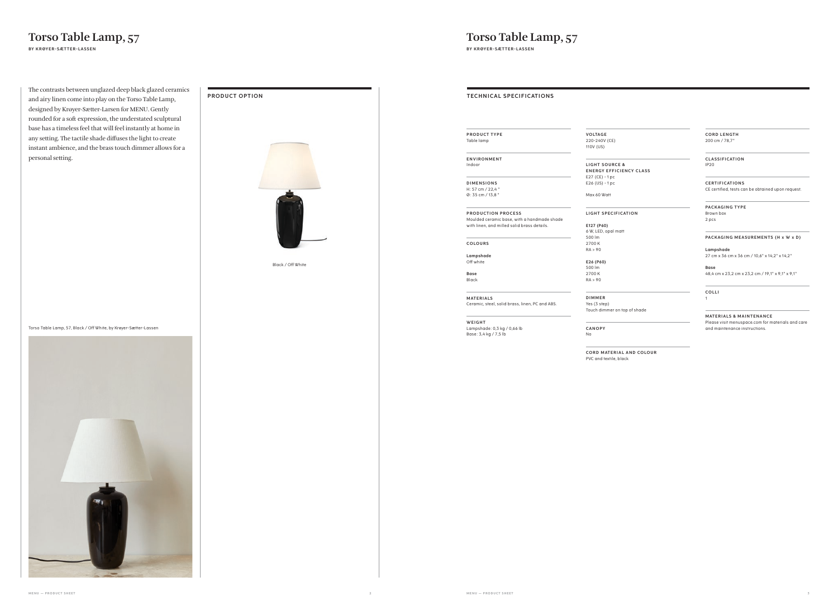### **LIGHT SOURCE & ENERGY EFFICIENCY CLASS**

**CORD MATERIAL AND COLOUR** PVC and textile, black

**VO LTAG E** 220-240V (CE) 110V (US)

E27 (CE) - 1 pc E26 (US) - 1 pc

Max 60 Watt

## **LIGHT SPECIFICATION**

**E127 (P60)** 6 W, LED, opal matt

> **MATERIALS & MAINTENANCE** Please visit menuspace.com for materials and care and maintenance instructions.

500 lm 2700 K RA > 90

**E26 (P60)**

500 lm 2700 K RA > 90

**DIMMER** Yes (3 step) Touch dimmer on top of shade

**CANOPY** No

**CORD LENGTH** 200 cm / 78,7"

#### **C L AS S I F I CAT I O N** IP20

**C E RT I F I CAT I O N S** CE certified, tests can be obtained upon request.

| <b>PTION</b>      | <b>TECHNICAL SPECIFICATIONS</b>                                                                                  |
|-------------------|------------------------------------------------------------------------------------------------------------------|
|                   |                                                                                                                  |
|                   | PRODUCT TYPE<br>Table lamp                                                                                       |
|                   | ENVIRONMENT<br>Indoor                                                                                            |
|                   | <b>DIMENSIONS</b><br>H: 57 cm / 22,4"<br>⊘: 35 cm / 13,8"                                                        |
|                   | PRODUCTION PROCESS<br>Moulded ceramic base, with a handmade shade<br>with linen, and milled solid brass details. |
|                   | COLOURS                                                                                                          |
| Black / Off White | Lampshade<br>Off white                                                                                           |
|                   | Base<br>Black                                                                                                    |
|                   | MATERIALS<br>Ceramic, steel, solid brass, linen, PC and ABS.                                                     |
|                   | WEIGHT<br>Lampshade: 0,3 kg / 0,66 lb<br>Base: 3,4 kg / 7,5 lb                                                   |
|                   |                                                                                                                  |
|                   |                                                                                                                  |
|                   |                                                                                                                  |
|                   |                                                                                                                  |
|                   |                                                                                                                  |
|                   |                                                                                                                  |
|                   |                                                                                                                  |
|                   |                                                                                                                  |
|                   |                                                                                                                  |
|                   |                                                                                                                  |

#### **PACKAGING TYPE** Brown box 2 pcs

### **PACKAGING MEASUREMENTS (H x W x D)**

**Lampshade**

27 cm x 36 cm x 36 cm / 10,6" x 14,2" x 14,2"

**Base** 48,4 cm x 23,2 cm x 23,2 cm / 19,1" x 9,1" x 9,1"

**COLLI**

1

# **Torso Table Lamp, 57**

**BY KRØYER-SÆTTER-LASSEN**

The contrasts between unglazed deep black glazed ceramics and airy linen come into play on the Torso Table Lamp, designed by Krøyer-Sætter-Larsen for MENU. Gently rounded for a soft expression, the understated sculptural base has a timeless feel that will feel instantly at home in any setting. The tactile shade diffuses the light to create instant ambience, and the brass touch dimmer allows for a personal setting.

Torso Table Lamp, 57, Black / Off White, by Krøyer-Sætter-Lassen



## **PRODUCT OF**

## **Torso Table Lamp, 57**

**BY KRØYER-SÆTTER-LASSEN**